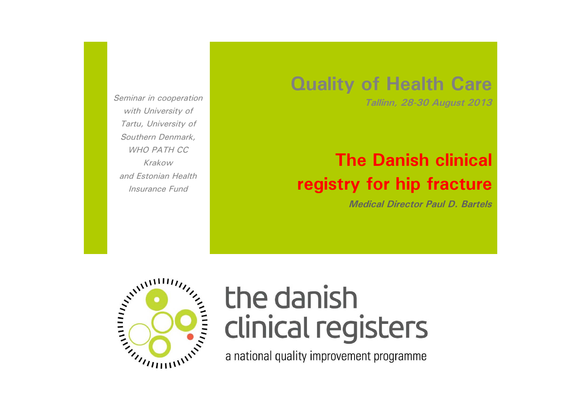*Seminar in cooperation with University of Tartu, University of Southern Denmark, WHO PATH CC Krakow and Estonian Health Insurance Fund*

## **Quality of Health Care**

*Tallinn, 28-30 August 2013*

# **The Danish clinical registry for hip fracture**

*Medical Director Paul D. Bartels*



# the danish clinical registers

a national quality improvement programme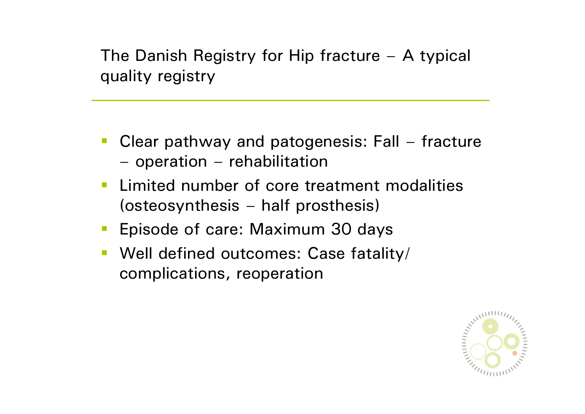The Danish Registry for Hip fracture – A typical quality registry

- $\mathbb{R}^n$  Clear pathway and patogenesis: Fall – fracture  $-$  operation – rehabilitation
- $\mathcal{L}_{\mathcal{A}}$  Limited number of core treatment modalities (osteosynthesis – half prosthesis)
- $\mathbb{R}^n$ Episode of care: Maximum 30 days
- $\mathcal{L}_{\mathcal{A}}$  Well defined outcomes: Case fatality/ complications, reoperation

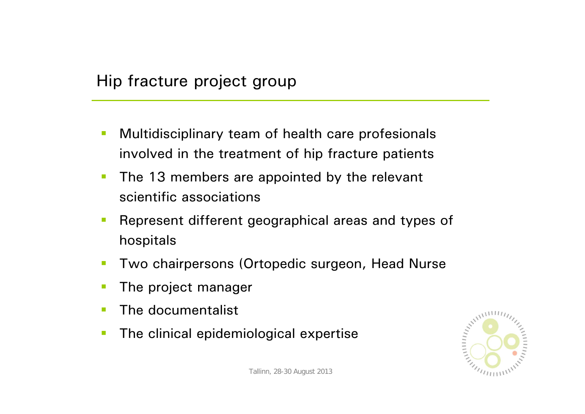- П Multidisciplinary team of health care profesionals involved in the treatment of hip fracture patients
- $\Box$  The 13 members are appointed by the relevant scientific associations
- $\Box$  Represent different geographical areas and types of hospitals
- $\mathbb{Z}$ Two chairpersons (Ortopedic surgeon, Head Nurse
- þ. The project manager
- $\blacksquare$ The documentalist
- $\mathcal{L}_{\mathcal{A}}$ The clinical epidemiological expertise

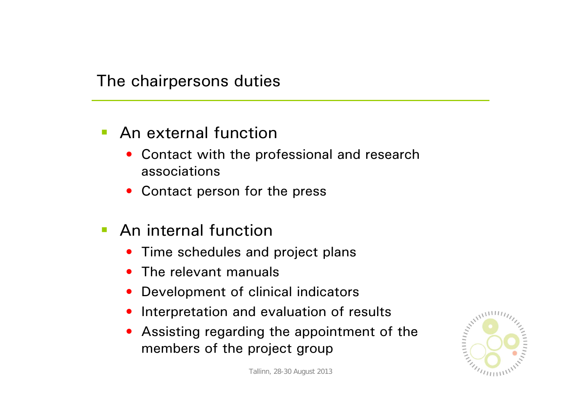- **An external function** 
	- • Contact with the professional and research associations
	- Contact person for the press
- $\mathcal{O}(\mathcal{O})$  An internal function
	- **•** Time schedules and project plans
	- The relevant manuals
	- •Development of clinical indicators
	- •Interpretation and evaluation of results
	- Assisting regarding the appointment of the members of the project group

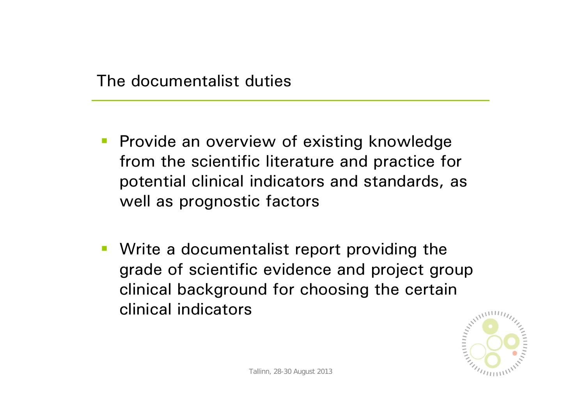- $\mathcal{L}_{\mathcal{A}}$  Provide an overview of existing knowledge from the scientific literature and practice for potential clinical indicators and standards, as well as prognostic factors
- $\mathcal{L}_{\mathcal{A}}$  Write a documentalist report providing the grade of scientific evidence and project group clinical background for choosing the certain clinical indicators

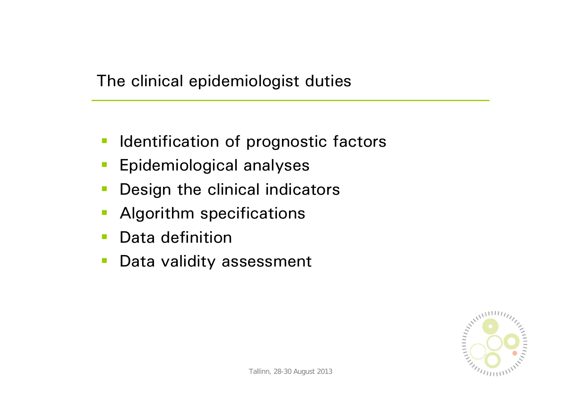- $\mathcal{L}_{\mathcal{A}}$ Identification of prognostic factors
- $\mathcal{L}_{\mathcal{A}}$ Epidemiological analyses
- $\mathcal{C}^{\mathcal{A}}$ Design the clinical indicators
- $\mathcal{L}_{\mathcal{A}}$ Algorithm specifications
- $\mathbb{R}^n$ **Data definition**
- Data validity assessment

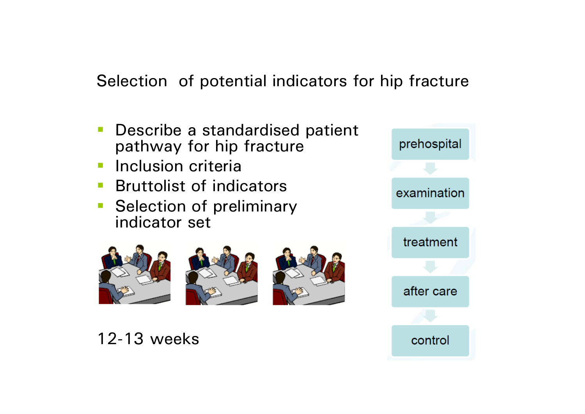#### Selection of potential indicators for hip fracture

- $\overline{\mathcal{L}}$  Describe a standardised patient pathway for hip fracture
- **Inclusion criteria**
- **Bruttolist of indicators**
- $\mathbb{R}^3$  Selection of preliminary indicator set



12-13 weeks

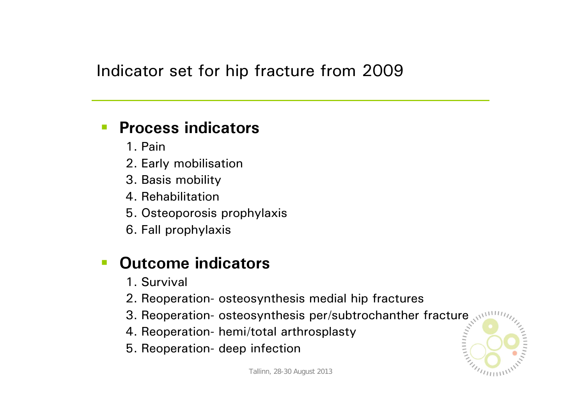### Indicator set for hip fracture from 2009

#### **Process indicators**

- 1. Pain
- 2. Early mobilisation
- 3. Basis mobility
- 4. Rehabilitation
- 5. Osteoporosis prophylaxis
- 6. Fall prophylaxis

#### **Outcome indicators**

- 1. Survival
- 2. Reoperation- osteosynthesis medial hip fractures
- 3. Reoperation- osteosynthesis per/subtrochanther fracture
- 4. Reoperation- hemi/total arthrosplasty
- 5. Reoperation- deep infection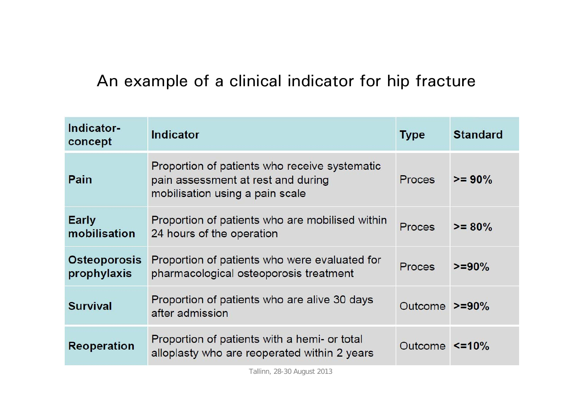#### An example of a clinical indicator for hip fracture

| Indicator-<br>concept              | <b>Indicator</b>                                                                                                       | <b>Type</b>   | <b>Standard</b> |
|------------------------------------|------------------------------------------------------------------------------------------------------------------------|---------------|-----------------|
| Pain                               | Proportion of patients who receive systematic<br>pain assessment at rest and during<br>mobilisation using a pain scale | <b>Proces</b> | $>= 90\%$       |
| <b>Early</b><br>mobilisation       | Proportion of patients who are mobilised within<br>24 hours of the operation                                           | <b>Proces</b> | $>= 80\%$       |
| <b>Osteoporosis</b><br>prophylaxis | Proportion of patients who were evaluated for<br>pharmacological osteoporosis treatment                                | <b>Proces</b> | $>= 90%$        |
| <b>Survival</b>                    | Proportion of patients who are alive 30 days<br>after admission                                                        | Outcome       | $>= 90%$        |
| <b>Reoperation</b>                 | Proportion of patients with a hemi- or total<br>alloplasty who are reoperated within 2 years                           | Outcome       | $\leq$ = 10%    |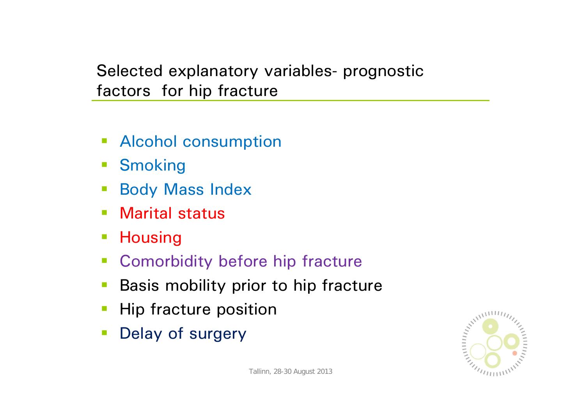Selected explanatory variables- prognostic factors for hip fracture

- $\mathcal{L}_{\mathcal{A}}$ Alcohol consumption
- $\mathcal{L}^{\mathcal{L}}$ **Smoking**
- $\mathcal{L}_{\mathcal{A}}$ Body Mass Index
- Marital status
- $\mathcal{L}_{\mathcal{A}}$ **Housing**
- $\mathcal{L}_{\mathcal{A}}$ Comorbidity before hip fracture
- $\mathcal{L}_{\mathcal{A}}$ Basis mobility prior to hip fracture
- Hip fracture position
- $\mathcal{L}_{\mathcal{A}}$ Delay of surgery

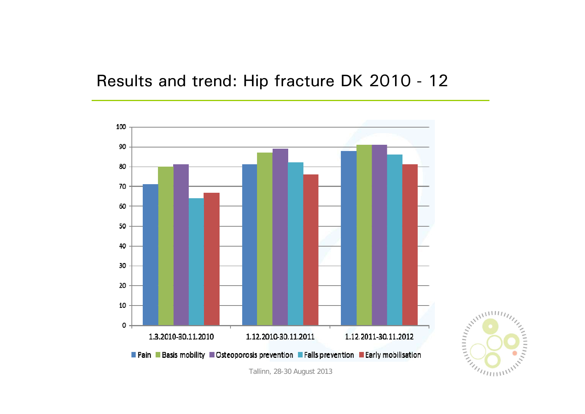#### Results and trend: Hip fracture DK 2010 - 12





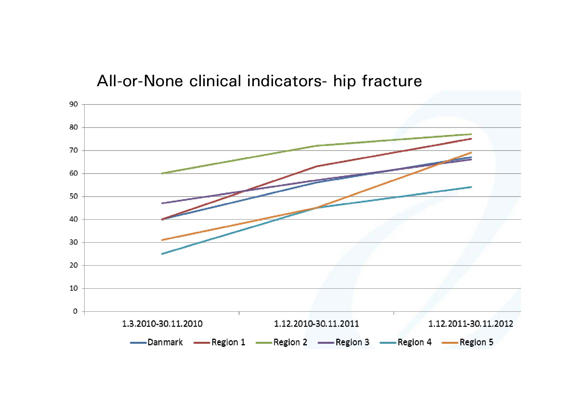#### All-or-None clinical indicators- hip fracture

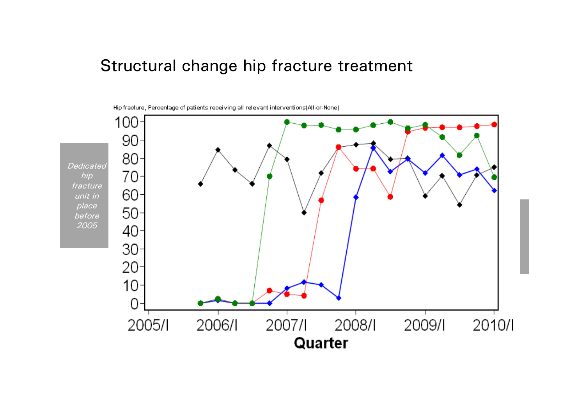#### Structural change hip fracture treatment



Hip fracture, Percentage of patients receiving all relevant interventions(All-or-None)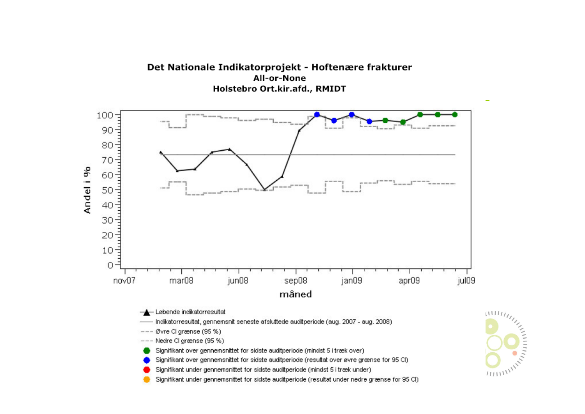

Det Nationale Indikatorprojekt - Hoftenære frakturer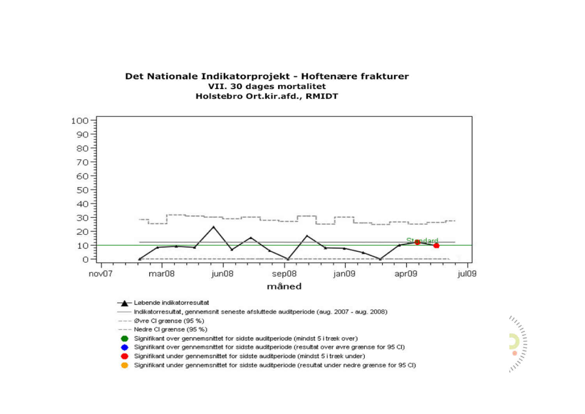#### Det Nationale Indikatorprojekt - Hoftenære frakturer VII. 30 dages mortalitet Holstebro Ort.kir.afd., RMIDT



**MANIFESTATION**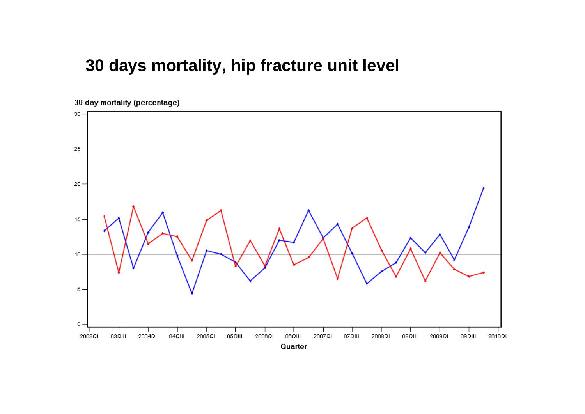#### **30 days mortality, hip fracture unit level**



30 day mortality (percentage)